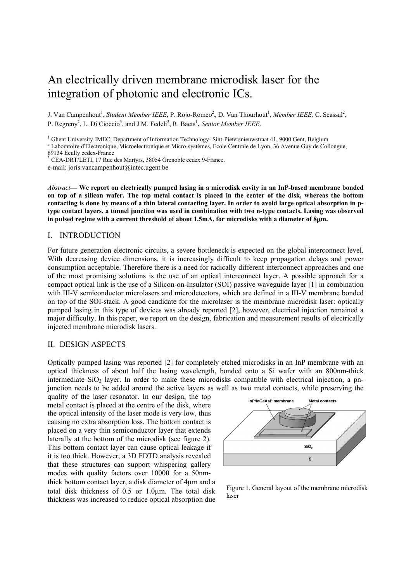# An electrically driven membrane microdisk laser for the integration of photonic and electronic ICs.

J. Van Campenhout<sup>1</sup>, *Student Member IEEE*, P. Rojo-Romeo<sup>2</sup>, D. Van Thourhout<sup>1</sup>, *Member IEEE*, C. Seassal<sup>2</sup>, P. Regreny<sup>2</sup>, L. Di Cioccio<sup>3</sup>, and J.M. Fedeli<sup>3</sup>, R. Baets<sup>1</sup>, Senior Member IEEE.

<sup>1</sup> Ghent University-IMEC, Department of Information Technology- Sint-Pietersnieuwstraat 41, 9000 Gent, Belgium <sup>2</sup> Lebensteine d'Electronique, Microelectronique et Microelectronique Ecole Centrele de Lyon, 26 Ayanye Guy

<sup>2</sup> Laboratoire d'Electronique, Microelectronique et Micro-systèmes, Ecole Centrale de Lyon, 36 Avenue Guy de Collongue, 69134 Ecully cedex-France

3 CEA-DRT/LETI, 17 Rue des Martyrs, 38054 Grenoble cedex 9-France.

e-mail: joris.vancampenhout@intec.ugent.be

*Abstract***— We report on electrically pumped lasing in a microdisk cavity in an InP-based membrane bonded on top of a silicon wafer. The top metal contact is placed in the center of the disk, whereas the bottom contacting is done by means of a thin lateral contacting layer. In order to avoid large optical absorption in ptype contact layers, a tunnel junction was used in combination with two n-type contacts. Lasing was observed in pulsed regime with a current threshold of about 1.5mA, for microdisks with a diameter of 8**µ**m.** 

## I. INTRODUCTION

For future generation electronic circuits, a severe bottleneck is expected on the global interconnect level. With decreasing device dimensions, it is increasingly difficult to keep propagation delays and power consumption acceptable. Therefore there is a need for radically different interconnect approaches and one of the most promising solutions is the use of an optical interconnect layer. A possible approach for a compact optical link is the use of a Silicon-on-Insulator (SOI) passive waveguide layer [1] in combination with III-V semiconductor microlasers and microdetectors, which are defined in a III-V membrane bonded on top of the SOI-stack. A good candidate for the microlaser is the membrane microdisk laser: optically pumped lasing in this type of devices was already reported [2], however, electrical injection remained a major difficulty. In this paper, we report on the design, fabrication and measurement results of electrically injected membrane microdisk lasers.

#### II. DESIGN ASPECTS

Optically pumped lasing was reported [2] for completely etched microdisks in an InP membrane with an optical thickness of about half the lasing wavelength, bonded onto a Si wafer with an 800nm-thick intermediate  $SiO<sub>2</sub>$  layer. In order to make these microdisks compatible with electrical injection, a pnjunction needs to be added around the active layers as well as two metal contacts, while preserving the

quality of the laser resonator. In our design, the top metal contact is placed at the centre of the disk, where the optical intensity of the laser mode is very low, thus causing no extra absorption loss. The bottom contact is placed on a very thin semiconductor layer that extends laterally at the bottom of the microdisk (see figure 2). This bottom contact layer can cause optical leakage if it is too thick. However, a 3D FDTD analysis revealed that these structures can support whispering gallery modes with quality factors over 10000 for a 50nmthick bottom contact layer, a disk diameter of 4µm and a total disk thickness of 0.5 or 1.0µm. The total disk thickness was increased to reduce optical absorption due



Figure 1. General layout of the membrane microdisk laser